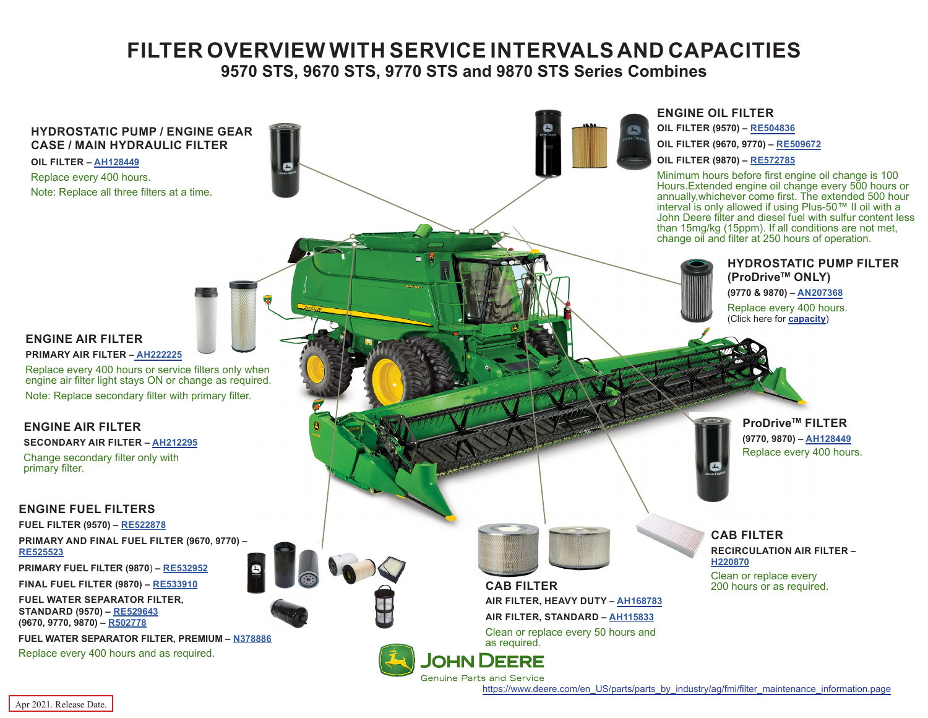## **FILTER OVERVIEW WITH SERVICE INTERVALS AND CAPACITIES 9570 STS, 9670 STS, 9770 STS and 9870 STS Series Combines**

<span id="page-0-0"></span>

Apr 2021. Release Date.